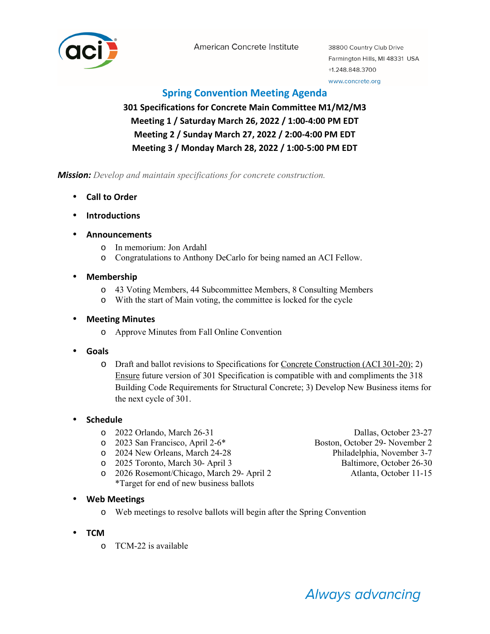

American Concrete Institute

38800 Country Club Drive Farmington Hills, MI 48331 USA +1.248.848.3700

#### www.concrete.org

### **Spring Convention Meeting Agenda**

## **301 Specifications for Concrete Main Committee M1/M2/M3 Meeting 1 / Saturday March 26, 2022 / 1:00-4:00 PM EDT Meeting 2 / Sunday March 27, 2022 / 2:00-4:00 PM EDT Meeting 3 / Monday March 28, 2022 / 1:00-5:00 PM EDT**

*Mission: Develop and maintain specifications for concrete construction.*

- **Call to Order**
- **Introductions**
- **Announcements** 
	- o In memorium: Jon Ardahl
	- o Congratulations to Anthony DeCarlo for being named an ACI Fellow.
- **Membership** 
	- o 43 Voting Members, 44 Subcommittee Members, 8 Consulting Members
	- o With the start of Main voting, the committee is locked for the cycle

#### • **Meeting Minutes**

- o Approve Minutes from Fall Online Convention
- **Goals** 
	- o Draft and ballot revisions to Specifications for Concrete Construction (ACI 301-20); 2) Ensure future version of 301 Specification is compatible with and compliments the 318 Building Code Requirements for Structural Concrete; 3) Develop New Business items for the next cycle of 301.

#### • **Schedule**

- 
- o 2023 San Francisco, April 2-6\* Boston, October 29- November 2
- o 2024 New Orleans, March 24-28 Philadelphia, November 3-7
- o 2025 Toronto, March 30- April 3 Baltimore, October 26-30
- o 2026 Rosemont/Chicago, March 29- April 2 Atlanta, October 11-15 \*Target for end of new business ballots

o 2022 Orlando, March 26-31 Dallas, October 23-27

- **Web Meetings** 
	- o Web meetings to resolve ballots will begin after the Spring Convention
- **TCM** 
	- o TCM-22 is available

# **Always advancing**